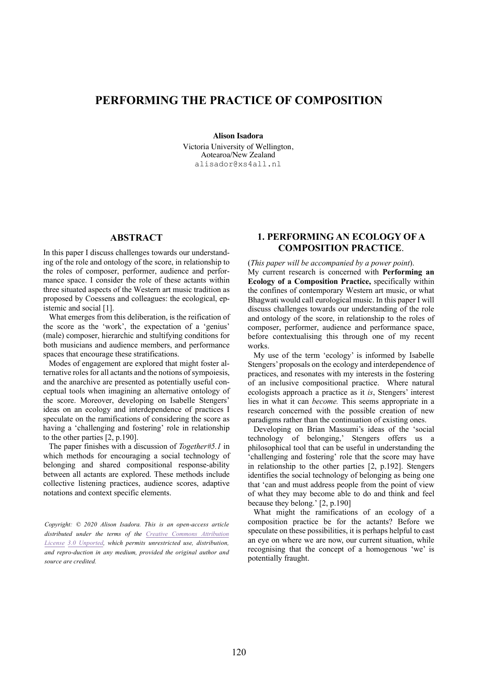# **PERFORMING THE PRACTICE OF COMPOSITION**

**Alison Isadora**

Victoria University of Wellington, Aotearoa/New Zealand alisador@xs4all.nl

## **ABSTRACT**

In this paper I discuss challenges towards our understanding of the role and ontology of the score, in relationship to the roles of composer, performer, audience and performance space. I consider the role of these actants within three situated aspects of the Western art music tradition as proposed by Coessens and colleagues: the ecological, epistemic and social [1].

What emerges from this deliberation, is the reification of the score as the 'work', the expectation of a 'genius' (male) composer, hierarchic and stultifying conditions for both musicians and audience members, and performance spaces that encourage these stratifications.

Modes of engagement are explored that might foster alternative roles for all actants and the notions of sympoiesis, and the anarchive are presented as potentially useful conceptual tools when imagining an alternative ontology of the score. Moreover, developing on Isabelle Stengers' ideas on an ecology and interdependence of practices I speculate on the ramifications of considering the score as having a 'challenging and fostering' role in relationship to the other parties [2, p.190].

The paper finishes with a discussion of *Together#5.1* in which methods for encouraging a social technology of belonging and shared compositional response-ability between all actants are explored. These methods include collective listening practices, audience scores, adaptive notations and context specific elements.

*Copyright: © 2020 Alison Isadora. This is an open-access article distributed under the terms of the Creative Commons Attribution License 3.0 Unported, which permits unrestricted use, distribution, and repro-duction in any medium, provided the original author and source are credited.*

## **1. PERFORMING AN ECOLOGY OF A COMPOSITION PRACTICE**.

(*This paper will be accompanied by a power point*).

My current research is concerned with **Performing an Ecology of a Composition Practice,** specifically within the confines of contemporary Western art music, or what Bhagwati would call eurological music. In this paper I will discuss challenges towards our understanding of the role and ontology of the score, in relationship to the roles of composer, performer, audience and performance space, before contextualising this through one of my recent works.

My use of the term 'ecology' is informed by Isabelle Stengers' proposals on the ecology and interdependence of practices, and resonates with my interests in the fostering of an inclusive compositional practice. Where natural ecologists approach a practice as it *is*, Stengers' interest lies in what it can *become.* This seems appropriate in a research concerned with the possible creation of new paradigms rather than the continuation of existing ones.

Developing on Brian Massumi's ideas of the 'social technology of belonging,' Stengers offers us a philosophical tool that can be useful in understanding the 'challenging and fostering' role that the score may have in relationship to the other parties [2, p.192]. Stengers identifies the social technology of belonging as being one that 'can and must address people from the point of view of what they may become able to do and think and feel because they belong.' [2, p.190]

What might the ramifications of an ecology of a composition practice be for the actants? Before we speculate on these possibilities, it is perhaps helpful to cast an eye on where we are now, our current situation, while recognising that the concept of a homogenous 'we' is potentially fraught.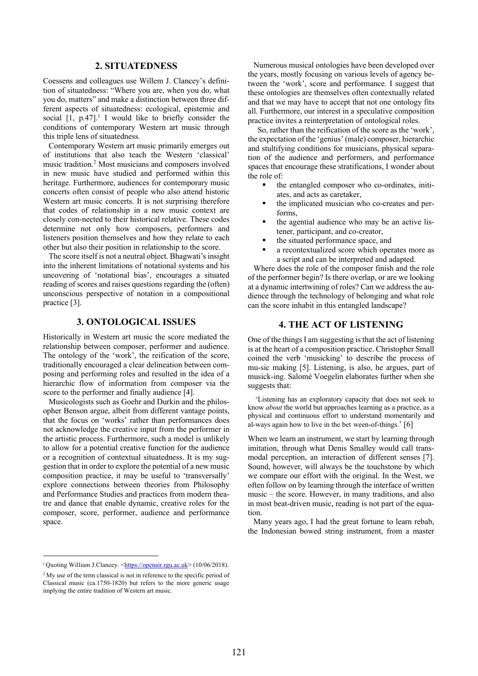## **2. SITUATEDNESS**

Coessens and colleagues use Willem J. Clancey's definition of situatedness: "Where you are, when you do, what you do, matters" and make a distinction between three different aspects of situatedness: ecological, epistemic and social  $[1, p.47]$ <sup>1</sup> I would like to briefly consider the conditions of contemporary Western art music through this triple lens of situatedness.

Contemporary Western art music primarily emerges out of institutions that also teach the Western 'classical' music tradition.<sup>2</sup> Most musicians and composers involved in new music have studied and performed within this heritage. Furthermore, audiences for contemporary music concerts often consist of people who also attend historic Western art music concerts. It is not surprising therefore that codes of relationship in a new music context are closely con-nected to their historical relative. These codes determine not only how composers, performers and listeners position themselves and how they relate to each other but also their position in relationship to the score.

The score itself is not a neutral object. Bhagwati's insight into the inherent limitations of notational systems and his uncovering of 'notational bias', encourages a situated reading of scores and raises questions regarding the (often) unconscious perspective of notation in a compositional practice [3].

## **3. ONTOLOGICAL ISSUES**

Historically in Western art music the score mediated the relationship between composer, performer and audience. The ontology of the 'work', the reification of the score, traditionally encouraged a clear delineation between composing and performing roles and resulted in the idea of a hierarchic flow of information from composer via the score to the performer and finally audience [4].

Musicologists such as Goehr and Durkin and the philosopher Benson argue, albeit from different vantage points, that the focus on 'works' rather than performances does not acknowledge the creative input from the performer in the artistic process. Furthermore, such a model is unlikely to allow for a potential creative function for the audience or a recognition of contextual situatedness. It is my suggestion that in order to explore the potential of a new music composition practice, it may be useful to 'transversally' explore connections between theories from Philosophy and Performance Studies and practices from modern theatre and dance that enable dynamic, creative roles for the composer, score, performer, audience and performance space.

Numerous musical ontologies have been developed over the years, mostly focusing on various levels of agency between the 'work', score and performance. I suggest that these ontologies are themselves often contextually related and that we may have to accept that not one ontology fits all. Furthermore, our interest in a speculative composition practice invites a reinterpretation of ontological roles.

 So, rather than the reification of the score as the 'work', the expectation of the 'genius' (male) composer, hierarchic and stultifying conditions for musicians, physical separation of the audience and performers, and performance spaces that encourage these stratifications, I wonder about the role of:

- the entangled composer who co-ordinates, initiates, and acts as caretaker,
- the implicated musician who co-creates and performs,
- the agential audience who may be an active listener, participant, and co-creator,
- the situated performance space, and
- a recontextualized score which operates more as a script and can be interpreted and adapted.

Where does the role of the composer finish and the role of the performer begin? Is there overlap, or are we looking at a dynamic intertwining of roles? Can we address the audience through the technology of belonging and what role can the score inhabit in this entangled landscape?

## **4. THE ACT OF LISTENING**

One of the things I am suggesting is that the act of listening is at the heart of a composition practice. Christopher Small coined the verb 'musicking' to describe the process of mu-sic making [5]. Listening, is also, he argues, part of musick-ing. Salomé Voegelin elaborates further when she suggests that:

'Listening has an exploratory capacity that does not seek to know *about* the world but approaches learning as a practice, as a physical and continuous effort to understand momentarily and al-ways again how to live in the bet ween-of-things.' [6]

When we learn an instrument, we start by learning through imitation, through what Denis Smalley would call transmodal perception, an interaction of different senses [7]. Sound, however, will always be the touchstone by which we compare our effort with the original. In the West, we often follow on by learning through the interface of written music – the score. However, in many traditions, and also in most beat-driven music, reading is not part of the equation.

Many years ago, I had the great fortune to learn rebab, the Indonesian bowed string instrument, from a master

<sup>&</sup>lt;sup>1</sup> Quoting William J.Clancey. <https://openair.rgu.ac.uk> (10/06/2018).

<sup>&</sup>lt;sup>2</sup> My use of the term classical is not in reference to the specific period of Classical music (ca.1750-1820) but refers to the more generic usage implying the entire tradition of Western art music.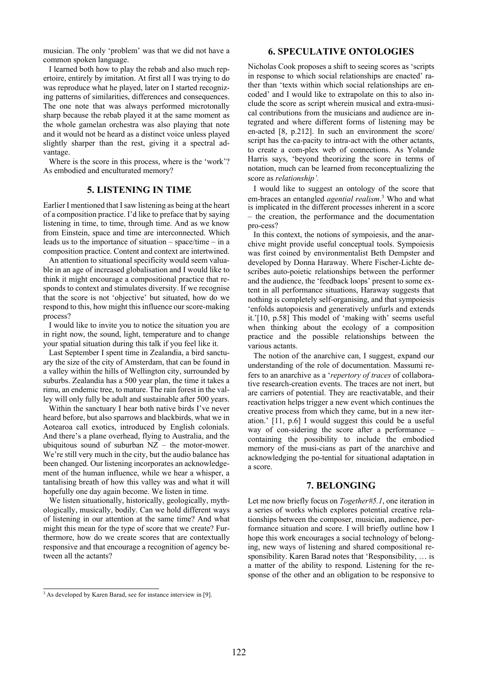musician. The only 'problem' was that we did not have a common spoken language.

I learned both how to play the rebab and also much repertoire, entirely by imitation. At first all I was trying to do was reproduce what he played, later on I started recognizing patterns of similarities, differences and consequences. The one note that was always performed microtonally sharp because the rebab played it at the same moment as the whole gamelan orchestra was also playing that note and it would not be heard as a distinct voice unless played slightly sharper than the rest, giving it a spectral advantage.

Where is the score in this process, where is the 'work'? As embodied and enculturated memory?

## **5. LISTENING IN TIME**

Earlier I mentioned that I saw listening as being at the heart of a composition practice. I'd like to preface that by saying listening in time, to time, through time. And as we know from Einstein, space and time are interconnected. Which leads us to the importance of situation – space/time – in a composition practice. Content and context are intertwined.

An attention to situational specificity would seem valuable in an age of increased globalisation and I would like to think it might encourage a compositional practice that responds to context and stimulates diversity. If we recognise that the score is not 'objective' but situated, how do we respond to this, how might this influence ourscore-making process?

I would like to invite you to notice the situation you are in right now, the sound, light, temperature and to change your spatial situation during this talk if you feel like it.

Last September I spent time in Zealandia, a bird sanctuary the size of the city of Amsterdam, that can be found in a valley within the hills of Wellington city, surrounded by suburbs. Zealandia has a 500 year plan, the time it takes a rimu, an endemic tree, to mature. The rain forest in the valley will only fully be adult and sustainable after 500 years.

Within the sanctuary I hear both native birds I've never heard before, but also sparrows and blackbirds, what we in Aotearoa call exotics, introduced by English colonials. And there's a plane overhead, flying to Australia, and the ubiquitous sound of suburban NZ – the motor-mower. We're still very much in the city, but the audio balance has been changed. Our listening incorporates an acknowledgement of the human influence, while we hear a whisper, a tantalising breath of how this valley was and what it will hopefully one day again become. We listen in time.

 We listen situationally, historically, geologically, mythologically, musically, bodily. Can we hold different ways of listening in our attention at the same time? And what might this mean for the type of score that we create? Furthermore, how do we create scores that are contextually responsive and that encourage a recognition of agency between all the actants?

**6. SPECULATIVE ONTOLOGIES**

Nicholas Cook proposes a shift to seeing scores as 'scripts in response to which social relationships are enacted' rather than 'texts within which social relationships are encoded' and I would like to extrapolate on this to also include the score as script wherein musical and extra-musical contributions from the musicians and audience are integrated and where different forms of listening may be en-acted [8, p.212]. In such an environment the score/ script has the ca-pacity to intra-act with the other actants, to create a com-plex web of connections. As Yolande Harris says, 'beyond theorizing the score in terms of notation, much can be learned from reconceptualizing the score as *relationship'.*

I would like to suggest an ontology of the score that em-braces an entangled *agential realism*. <sup>3</sup> Who and what is implicated in the different processes inherent in a score – the creation, the performance and the documentation pro-cess?

In this context, the notions of sympoiesis, and the anarchive might provide useful conceptual tools. Sympoiesis was first coined by environmentalist Beth Dempster and developed by Donna Haraway. Where Fischer-Lichte describes auto-poietic relationships between the performer and the audience, the 'feedback loops' present to some extent in all performance situations, Haraway suggests that nothing is completely self-organising, and that sympoiesis 'enfolds autopoiesis and generatively unfurls and extends it.'[10, p.58] This model of 'making with' seems useful when thinking about the ecology of a composition practice and the possible relationships between the various actants.

The notion of the anarchive can, I suggest, expand our understanding of the role of documentation. Massumi refers to an anarchive as a '*repertory of traces* of collaborative research-creation events. The traces are not inert, but are carriers of potential. They are reactivatable, and their reactivation helps trigger a new event which continues the creative process from which they came, but in a new iteration.' [11, p.6] I would suggest this could be a useful way of con-sidering the score after a performance – containing the possibility to include the embodied memory of the musi-cians as part of the anarchive and acknowledging the po-tential for situational adaptation in a score.

#### **7. BELONGING**

Let me now briefly focus on *Together#5.1*, one iteration in a series of works which explores potential creative relationships between the composer, musician, audience, performance situation and score. I will briefly outline how I hope this work encourages a social technology of belonging, new ways of listening and shared compositional responsibility. Karen Barad notes that 'Responsibility, … is a matter of the ability to respond. Listening for the response of the other and an obligation to be responsive to

<sup>&</sup>lt;sup>3</sup> As developed by Karen Barad, see for instance interview in [9].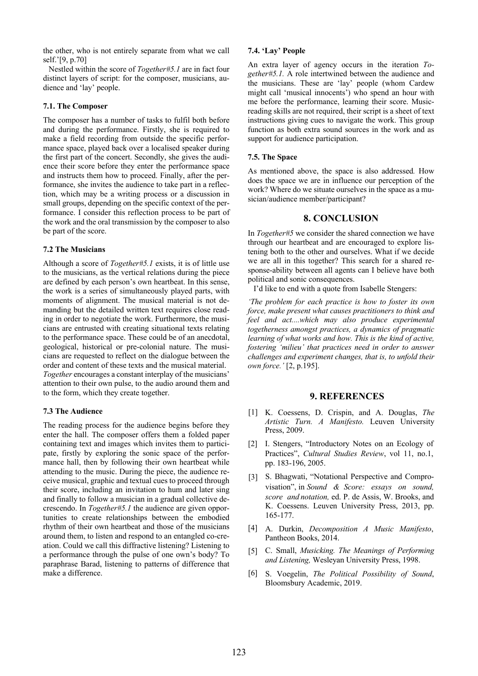the other, who is not entirely separate from what we call self.'[9, p.70]

Nestled within the score of *Together#5.1* are in fact four distinct layers of script: for the composer, musicians, audience and 'lay' people.

#### **7.1. The Composer**

The composer has a number of tasks to fulfil both before and during the performance. Firstly, she is required to make a field recording from outside the specific performance space, played back over a localised speaker during the first part of the concert. Secondly, she gives the audience their score before they enter the performance space and instructs them how to proceed. Finally, after the performance, she invites the audience to take part in a reflection, which may be a writing process or a discussion in small groups, depending on the specific context of the performance. I consider this reflection process to be part of the work and the oral transmission by the composer to also be part of the score.

#### **7.2 The Musicians**

Although a score of *Together#5.1* exists, it is of little use to the musicians, as the vertical relations during the piece are defined by each person's own heartbeat. In this sense, the work is a series of simultaneously played parts, with moments of alignment. The musical material is not demanding but the detailed written text requires close reading in order to negotiate the work. Furthermore, the musicians are entrusted with creating situational texts relating to the performance space. These could be of an anecdotal, geological, historical or pre-colonial nature. The musicians are requested to reflect on the dialogue between the order and content of these texts and the musical material. *Together* encourages a constant interplay of the musicians' attention to their own pulse, to the audio around them and to the form, which they create together.

#### **7.3 The Audience**

The reading process for the audience begins before they enter the hall. The composer offers them a folded paper containing text and images which invites them to participate, firstly by exploring the sonic space of the performance hall, then by following their own heartbeat while attending to the music. During the piece, the audience receive musical, graphic and textual cues to proceed through their score, including an invitation to hum and later sing and finally to follow a musician in a gradual collective decrescendo. In *Together#5.1* the audience are given opportunities to create relationships between the embodied rhythm of their own heartbeat and those of the musicians around them, to listen and respond to an entangled co-creation. Could we call this diffractive listening? Listening to a performance through the pulse of one own's body? To paraphrase Barad, listening to patterns of difference that make a difference.

#### **7.4. 'Lay' People**

An extra layer of agency occurs in the iteration *Together#5.1.* A role intertwined between the audience and the musicians. These are 'lay' people (whom Cardew might call 'musical innocents') who spend an hour with me before the performance, learning their score. Musicreading skills are not required, their script is a sheet of text instructions giving cues to navigate the work. This group function as both extra sound sources in the work and as support for audience participation.

#### **7.5. The Space**

As mentioned above, the space is also addressed*.* How does the space we are in influence our perception of the work? Where do we situate ourselves in the space as a musician/audience member/participant?

## **8. CONCLUSION**

In *Together#5* we consider the shared connection we have through our heartbeat and are encouraged to explore listening both to the other and ourselves. What if we decide we are all in this together? This search for a shared response-ability between all agents can I believe have both political and sonic consequences.

I'd like to end with a quote from Isabelle Stengers:

*'The problem for each practice is how to foster its own force, make present what causes practitioners to think and feel and act....which may also produce experimental togetherness amongst practices, a dynamics of pragmatic learning of what works and how. This is the kind of active, fostering 'milieu' that practices need in order to answer challenges and experiment changes, that is, to unfold their own force.'* [2, p.195].

### **9. REFERENCES**

- [1] K. Coessens, D. Crispin, and A. Douglas, The *Artistic Turn. A Manifesto.* Leuven University Press, 2009.
- [2] I. Stengers, "Introductory Notes on an Ecology of Practices", *Cultural Studies Review*, vol 11, no.1, pp. 183-196, 2005.
- [3] S. Bhagwati, "Notational Perspective and Comprovisation", in *Sound & Score: essays on sound, score and notation,* ed. P. de Assis, W. Brooks, and K. Coessens. Leuven University Press, 2013, pp. 165-177.
- A. Durkin, *Decomposition A Music Manifesto*, [4] Pantheon Books, 2014.
- C. Small, *Musicking. The Meanings of Performing*  [5] *and Listening,* Wesleyan University Press, 1998.
- S. Voegelin, *The Political Possibility of Sound*, [6]Bloomsbury Academic, 2019.